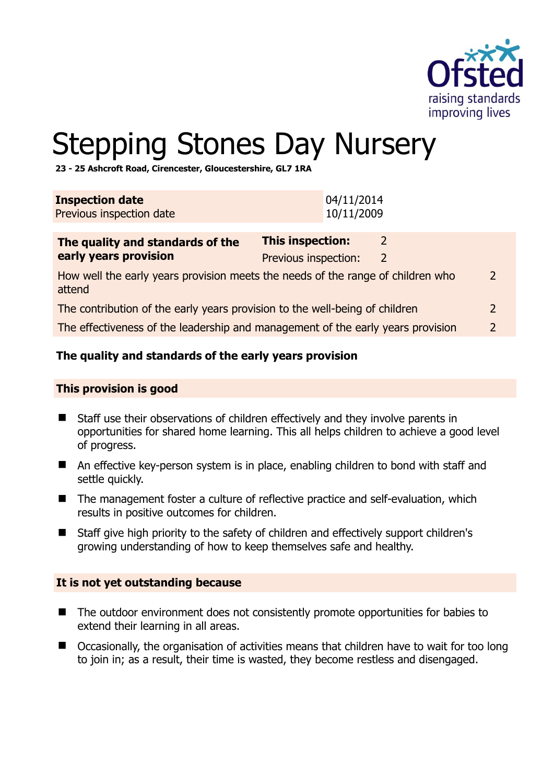

# Stepping Stones Day Nursery

**23 - 25 Ashcroft Road, Cirencester, Gloucestershire, GL7 1RA** 

| 04/11/2014<br>10/11/2009                                                                                   |  |  |  |  |
|------------------------------------------------------------------------------------------------------------|--|--|--|--|
| This inspection:<br>2<br>Previous inspection:<br>2                                                         |  |  |  |  |
| How well the early years provision meets the needs of the range of children who<br>$\mathcal{P}$<br>attend |  |  |  |  |
| The contribution of the early years provision to the well-being of children<br>$\mathcal{L}$               |  |  |  |  |
| The effectiveness of the leadership and management of the early years provision<br>$\mathcal{P}$           |  |  |  |  |
|                                                                                                            |  |  |  |  |

# **The quality and standards of the early years provision**

## **This provision is good**

- Staff use their observations of children effectively and they involve parents in opportunities for shared home learning. This all helps children to achieve a good level of progress.
- An effective key-person system is in place, enabling children to bond with staff and settle quickly.
- The management foster a culture of reflective practice and self-evaluation, which results in positive outcomes for children.
- Staff give high priority to the safety of children and effectively support children's growing understanding of how to keep themselves safe and healthy.

#### **It is not yet outstanding because**

- The outdoor environment does not consistently promote opportunities for babies to extend their learning in all areas.
- Occasionally, the organisation of activities means that children have to wait for too long to join in; as a result, their time is wasted, they become restless and disengaged.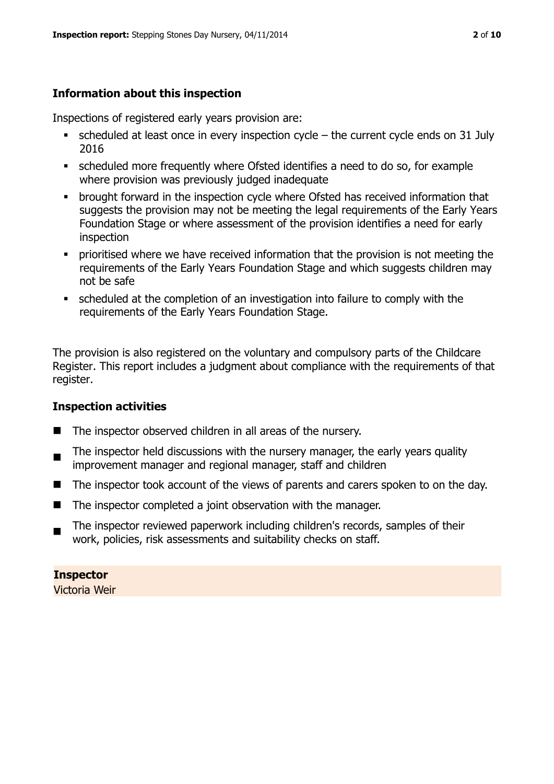# **Information about this inspection**

Inspections of registered early years provision are:

- scheduled at least once in every inspection cycle the current cycle ends on 31 July 2016
- scheduled more frequently where Ofsted identifies a need to do so, for example where provision was previously judged inadequate
- **•** brought forward in the inspection cycle where Ofsted has received information that suggests the provision may not be meeting the legal requirements of the Early Years Foundation Stage or where assessment of the provision identifies a need for early inspection
- **•** prioritised where we have received information that the provision is not meeting the requirements of the Early Years Foundation Stage and which suggests children may not be safe
- scheduled at the completion of an investigation into failure to comply with the requirements of the Early Years Foundation Stage.

The provision is also registered on the voluntary and compulsory parts of the Childcare Register. This report includes a judgment about compliance with the requirements of that register.

# **Inspection activities**

- The inspector observed children in all areas of the nursery.
- $\blacksquare$ The inspector held discussions with the nursery manager, the early years quality improvement manager and regional manager, staff and children
- The inspector took account of the views of parents and carers spoken to on the day.
- The inspector completed a joint observation with the manager.
- $\blacksquare$ The inspector reviewed paperwork including children's records, samples of their work, policies, risk assessments and suitability checks on staff.

**Inspector**  Victoria Weir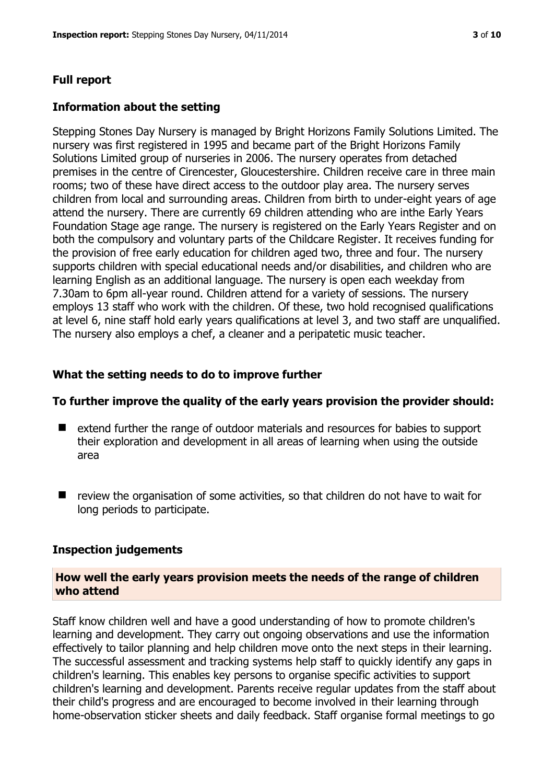#### **Full report**

#### **Information about the setting**

Stepping Stones Day Nursery is managed by Bright Horizons Family Solutions Limited. The nursery was first registered in 1995 and became part of the Bright Horizons Family Solutions Limited group of nurseries in 2006. The nursery operates from detached premises in the centre of Cirencester, Gloucestershire. Children receive care in three main rooms; two of these have direct access to the outdoor play area. The nursery serves children from local and surrounding areas. Children from birth to under-eight years of age attend the nursery. There are currently 69 children attending who are inthe Early Years Foundation Stage age range. The nursery is registered on the Early Years Register and on both the compulsory and voluntary parts of the Childcare Register. It receives funding for the provision of free early education for children aged two, three and four. The nursery supports children with special educational needs and/or disabilities, and children who are learning English as an additional language. The nursery is open each weekday from 7.30am to 6pm all-year round. Children attend for a variety of sessions. The nursery employs 13 staff who work with the children. Of these, two hold recognised qualifications at level 6, nine staff hold early years qualifications at level 3, and two staff are unqualified. The nursery also employs a chef, a cleaner and a peripatetic music teacher.

#### **What the setting needs to do to improve further**

#### **To further improve the quality of the early years provision the provider should:**

- extend further the range of outdoor materials and resources for babies to support their exploration and development in all areas of learning when using the outside area
- $\blacksquare$  review the organisation of some activities, so that children do not have to wait for long periods to participate.

#### **Inspection judgements**

#### **How well the early years provision meets the needs of the range of children who attend**

Staff know children well and have a good understanding of how to promote children's learning and development. They carry out ongoing observations and use the information effectively to tailor planning and help children move onto the next steps in their learning. The successful assessment and tracking systems help staff to quickly identify any gaps in children's learning. This enables key persons to organise specific activities to support children's learning and development. Parents receive regular updates from the staff about their child's progress and are encouraged to become involved in their learning through home-observation sticker sheets and daily feedback. Staff organise formal meetings to go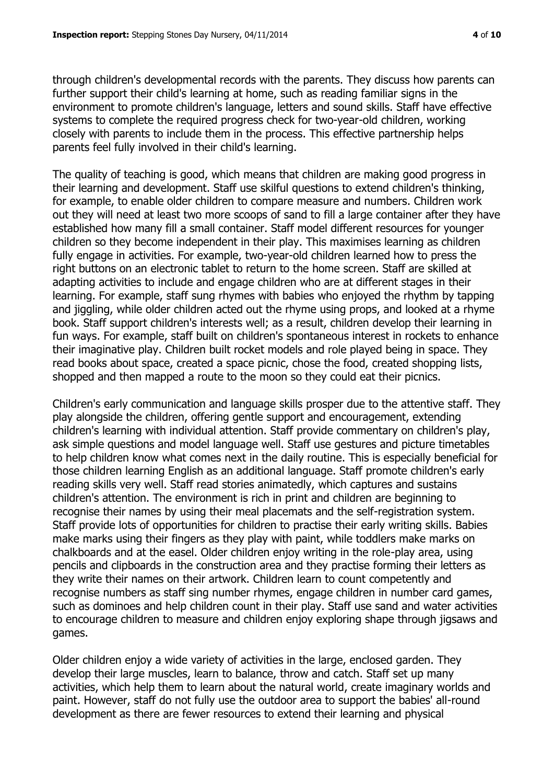through children's developmental records with the parents. They discuss how parents can further support their child's learning at home, such as reading familiar signs in the environment to promote children's language, letters and sound skills. Staff have effective systems to complete the required progress check for two-year-old children, working closely with parents to include them in the process. This effective partnership helps parents feel fully involved in their child's learning.

The quality of teaching is good, which means that children are making good progress in their learning and development. Staff use skilful questions to extend children's thinking, for example, to enable older children to compare measure and numbers. Children work out they will need at least two more scoops of sand to fill a large container after they have established how many fill a small container. Staff model different resources for younger children so they become independent in their play. This maximises learning as children fully engage in activities. For example, two-year-old children learned how to press the right buttons on an electronic tablet to return to the home screen. Staff are skilled at adapting activities to include and engage children who are at different stages in their learning. For example, staff sung rhymes with babies who enjoyed the rhythm by tapping and jiggling, while older children acted out the rhyme using props, and looked at a rhyme book. Staff support children's interests well; as a result, children develop their learning in fun ways. For example, staff built on children's spontaneous interest in rockets to enhance their imaginative play. Children built rocket models and role played being in space. They read books about space, created a space picnic, chose the food, created shopping lists, shopped and then mapped a route to the moon so they could eat their picnics.

Children's early communication and language skills prosper due to the attentive staff. They play alongside the children, offering gentle support and encouragement, extending children's learning with individual attention. Staff provide commentary on children's play, ask simple questions and model language well. Staff use gestures and picture timetables to help children know what comes next in the daily routine. This is especially beneficial for those children learning English as an additional language. Staff promote children's early reading skills very well. Staff read stories animatedly, which captures and sustains children's attention. The environment is rich in print and children are beginning to recognise their names by using their meal placemats and the self-registration system. Staff provide lots of opportunities for children to practise their early writing skills. Babies make marks using their fingers as they play with paint, while toddlers make marks on chalkboards and at the easel. Older children enjoy writing in the role-play area, using pencils and clipboards in the construction area and they practise forming their letters as they write their names on their artwork. Children learn to count competently and recognise numbers as staff sing number rhymes, engage children in number card games, such as dominoes and help children count in their play. Staff use sand and water activities to encourage children to measure and children enjoy exploring shape through jigsaws and games.

Older children enjoy a wide variety of activities in the large, enclosed garden. They develop their large muscles, learn to balance, throw and catch. Staff set up many activities, which help them to learn about the natural world, create imaginary worlds and paint. However, staff do not fully use the outdoor area to support the babies' all-round development as there are fewer resources to extend their learning and physical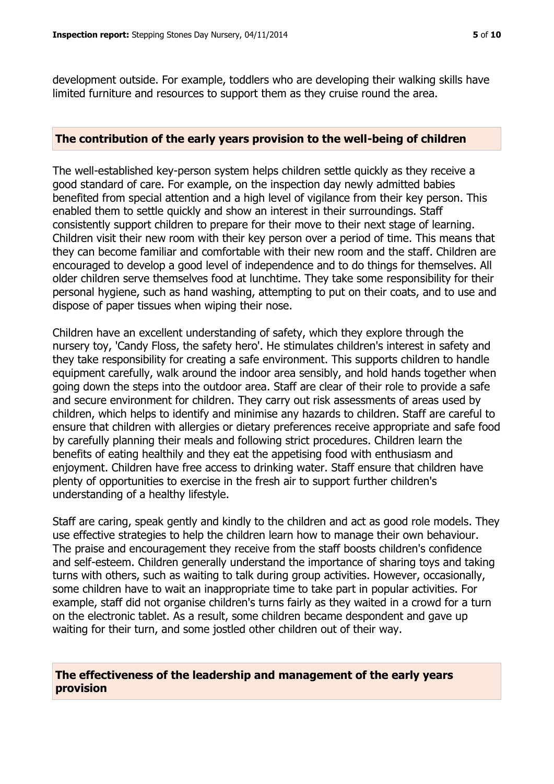development outside. For example, toddlers who are developing their walking skills have limited furniture and resources to support them as they cruise round the area.

#### **The contribution of the early years provision to the well-being of children**

The well-established key-person system helps children settle quickly as they receive a good standard of care. For example, on the inspection day newly admitted babies benefited from special attention and a high level of vigilance from their key person. This enabled them to settle quickly and show an interest in their surroundings. Staff consistently support children to prepare for their move to their next stage of learning. Children visit their new room with their key person over a period of time. This means that they can become familiar and comfortable with their new room and the staff. Children are encouraged to develop a good level of independence and to do things for themselves. All older children serve themselves food at lunchtime. They take some responsibility for their personal hygiene, such as hand washing, attempting to put on their coats, and to use and dispose of paper tissues when wiping their nose.

Children have an excellent understanding of safety, which they explore through the nursery toy, 'Candy Floss, the safety hero'. He stimulates children's interest in safety and they take responsibility for creating a safe environment. This supports children to handle equipment carefully, walk around the indoor area sensibly, and hold hands together when going down the steps into the outdoor area. Staff are clear of their role to provide a safe and secure environment for children. They carry out risk assessments of areas used by children, which helps to identify and minimise any hazards to children. Staff are careful to ensure that children with allergies or dietary preferences receive appropriate and safe food by carefully planning their meals and following strict procedures. Children learn the benefits of eating healthily and they eat the appetising food with enthusiasm and enjoyment. Children have free access to drinking water. Staff ensure that children have plenty of opportunities to exercise in the fresh air to support further children's understanding of a healthy lifestyle.

Staff are caring, speak gently and kindly to the children and act as good role models. They use effective strategies to help the children learn how to manage their own behaviour. The praise and encouragement they receive from the staff boosts children's confidence and self-esteem. Children generally understand the importance of sharing toys and taking turns with others, such as waiting to talk during group activities. However, occasionally, some children have to wait an inappropriate time to take part in popular activities. For example, staff did not organise children's turns fairly as they waited in a crowd for a turn on the electronic tablet. As a result, some children became despondent and gave up waiting for their turn, and some jostled other children out of their way.

#### **The effectiveness of the leadership and management of the early years provision**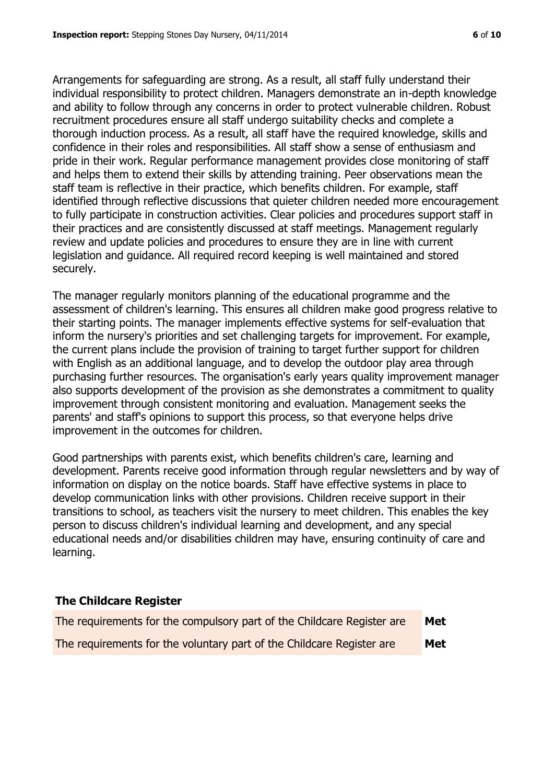Arrangements for safeguarding are strong. As a result, all staff fully understand their individual responsibility to protect children. Managers demonstrate an in-depth knowledge and ability to follow through any concerns in order to protect vulnerable children. Robust recruitment procedures ensure all staff undergo suitability checks and complete a thorough induction process. As a result, all staff have the required knowledge, skills and confidence in their roles and responsibilities. All staff show a sense of enthusiasm and pride in their work. Regular performance management provides close monitoring of staff and helps them to extend their skills by attending training. Peer observations mean the staff team is reflective in their practice, which benefits children. For example, staff identified through reflective discussions that quieter children needed more encouragement to fully participate in construction activities. Clear policies and procedures support staff in their practices and are consistently discussed at staff meetings. Management regularly review and update policies and procedures to ensure they are in line with current legislation and guidance. All required record keeping is well maintained and stored securely.

The manager regularly monitors planning of the educational programme and the assessment of children's learning. This ensures all children make good progress relative to their starting points. The manager implements effective systems for self-evaluation that inform the nursery's priorities and set challenging targets for improvement. For example, the current plans include the provision of training to target further support for children with English as an additional language, and to develop the outdoor play area through purchasing further resources. The organisation's early years quality improvement manager also supports development of the provision as she demonstrates a commitment to quality improvement through consistent monitoring and evaluation. Management seeks the parents' and staff's opinions to support this process, so that everyone helps drive improvement in the outcomes for children.

Good partnerships with parents exist, which benefits children's care, learning and development. Parents receive good information through regular newsletters and by way of information on display on the notice boards. Staff have effective systems in place to develop communication links with other provisions. Children receive support in their transitions to school, as teachers visit the nursery to meet children. This enables the key person to discuss children's individual learning and development, and any special educational needs and/or disabilities children may have, ensuring continuity of care and learning.

# **The Childcare Register**

| The requirements for the compulsory part of the Childcare Register are | Met |
|------------------------------------------------------------------------|-----|
| The requirements for the voluntary part of the Childcare Register are  | Met |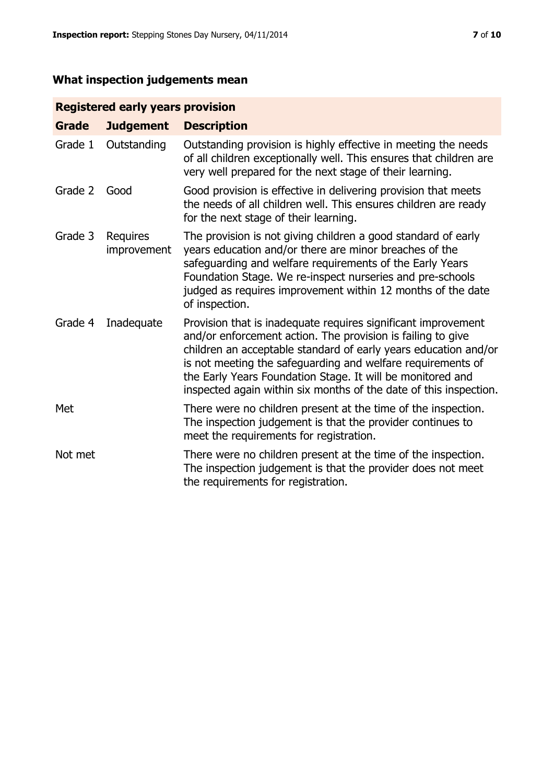# **What inspection judgements mean**

# **Registered early years provision**

| <b>Grade</b> | <b>Judgement</b>               | <b>Description</b>                                                                                                                                                                                                                                                                                                                                                                                |
|--------------|--------------------------------|---------------------------------------------------------------------------------------------------------------------------------------------------------------------------------------------------------------------------------------------------------------------------------------------------------------------------------------------------------------------------------------------------|
| Grade 1      | Outstanding                    | Outstanding provision is highly effective in meeting the needs<br>of all children exceptionally well. This ensures that children are<br>very well prepared for the next stage of their learning.                                                                                                                                                                                                  |
| Grade 2      | Good                           | Good provision is effective in delivering provision that meets<br>the needs of all children well. This ensures children are ready<br>for the next stage of their learning.                                                                                                                                                                                                                        |
| Grade 3      | <b>Requires</b><br>improvement | The provision is not giving children a good standard of early<br>years education and/or there are minor breaches of the<br>safeguarding and welfare requirements of the Early Years<br>Foundation Stage. We re-inspect nurseries and pre-schools<br>judged as requires improvement within 12 months of the date<br>of inspection.                                                                 |
| Grade 4      | Inadequate                     | Provision that is inadequate requires significant improvement<br>and/or enforcement action. The provision is failing to give<br>children an acceptable standard of early years education and/or<br>is not meeting the safeguarding and welfare requirements of<br>the Early Years Foundation Stage. It will be monitored and<br>inspected again within six months of the date of this inspection. |
| Met          |                                | There were no children present at the time of the inspection.<br>The inspection judgement is that the provider continues to<br>meet the requirements for registration.                                                                                                                                                                                                                            |
| Not met      |                                | There were no children present at the time of the inspection.<br>The inspection judgement is that the provider does not meet<br>the requirements for registration.                                                                                                                                                                                                                                |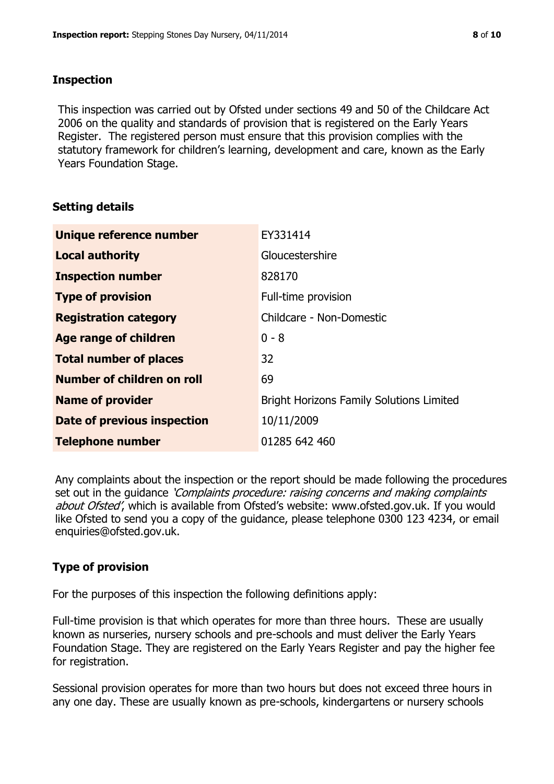## **Inspection**

This inspection was carried out by Ofsted under sections 49 and 50 of the Childcare Act 2006 on the quality and standards of provision that is registered on the Early Years Register. The registered person must ensure that this provision complies with the statutory framework for children's learning, development and care, known as the Early Years Foundation Stage.

# **Setting details**

| Unique reference number            | EY331414                                        |
|------------------------------------|-------------------------------------------------|
| <b>Local authority</b>             | Gloucestershire                                 |
| <b>Inspection number</b>           | 828170                                          |
| <b>Type of provision</b>           | Full-time provision                             |
| <b>Registration category</b>       | Childcare - Non-Domestic                        |
| Age range of children              | $0 - 8$                                         |
| <b>Total number of places</b>      | 32                                              |
| Number of children on roll         | 69                                              |
| <b>Name of provider</b>            | <b>Bright Horizons Family Solutions Limited</b> |
| <b>Date of previous inspection</b> | 10/11/2009                                      |
| <b>Telephone number</b>            | 01285 642 460                                   |

Any complaints about the inspection or the report should be made following the procedures set out in the guidance *'Complaints procedure: raising concerns and making complaints* about Ofsted', which is available from Ofsted's website: www.ofsted.gov.uk. If you would like Ofsted to send you a copy of the guidance, please telephone 0300 123 4234, or email enquiries@ofsted.gov.uk.

# **Type of provision**

For the purposes of this inspection the following definitions apply:

Full-time provision is that which operates for more than three hours. These are usually known as nurseries, nursery schools and pre-schools and must deliver the Early Years Foundation Stage. They are registered on the Early Years Register and pay the higher fee for registration.

Sessional provision operates for more than two hours but does not exceed three hours in any one day. These are usually known as pre-schools, kindergartens or nursery schools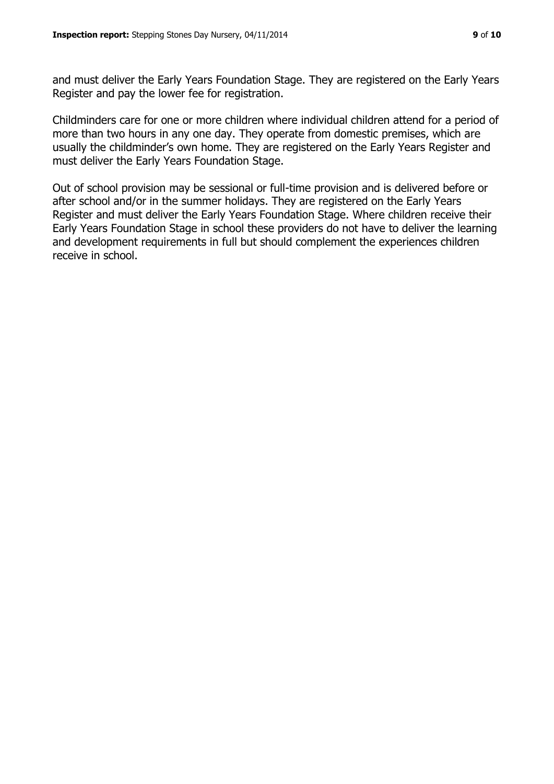and must deliver the Early Years Foundation Stage. They are registered on the Early Years Register and pay the lower fee for registration.

Childminders care for one or more children where individual children attend for a period of more than two hours in any one day. They operate from domestic premises, which are usually the childminder's own home. They are registered on the Early Years Register and must deliver the Early Years Foundation Stage.

Out of school provision may be sessional or full-time provision and is delivered before or after school and/or in the summer holidays. They are registered on the Early Years Register and must deliver the Early Years Foundation Stage. Where children receive their Early Years Foundation Stage in school these providers do not have to deliver the learning and development requirements in full but should complement the experiences children receive in school.